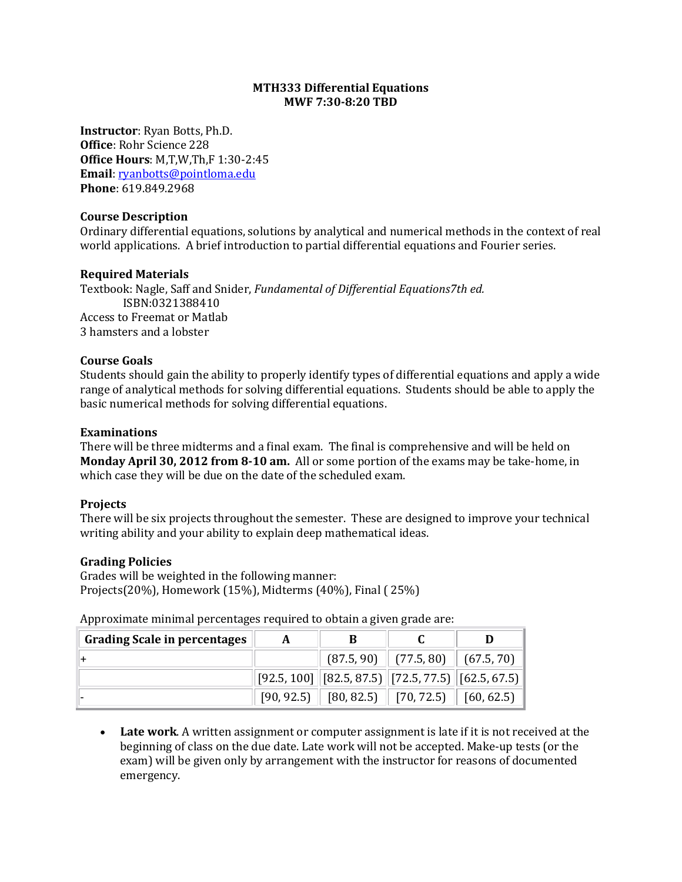# **MTH333 Differential Equations MWF 7:30-8:20 TBD**

**Instructor**: Ryan Botts, Ph.D. **Office**: Rohr Science 228 **Office Hours**: M,T,W,Th,F 1:30-2:45 **Email**: [ryanbotts@pointloma.edu](mailto:ryanbotts@pointloma.edu) **Phone**: 619.849.2968

### **Course Description**

Ordinary differential equations, solutions by analytical and numerical methods in the context of real world applications. A brief introduction to partial differential equations and Fourier series.

# **Required Materials**

Textbook: Nagle, Saff and Snider, *Fundamental of Differential Equations7th ed.* ISBN:0321388410 Access to Freemat or Matlab 3 hamsters and a lobster

# **Course Goals**

Students should gain the ability to properly identify types of differential equations and apply a wide range of analytical methods for solving differential equations. Students should be able to apply the basic numerical methods for solving differential equations.

# **Examinations**

There will be three midterms and a final exam. The final is comprehensive and will be held on **Monday April 30, 2012 from 8-10 am.** All or some portion of the exams may be take-home, in which case they will be due on the date of the scheduled exam.

#### **Projects**

There will be six projects throughout the semester. These are designed to improve your technical writing ability and your ability to explain deep mathematical ideas.

#### **Grading Policies**

Grades will be weighted in the following manner: Projects(20%), Homework (15%), Midterms (40%), Final ( 25%)

Approximate minimal percentages required to obtain a given grade are:

| <b>Grading Scale in percentages</b> | A | В                                                                                                                                                                  |                                        |  |
|-------------------------------------|---|--------------------------------------------------------------------------------------------------------------------------------------------------------------------|----------------------------------------|--|
|                                     |   |                                                                                                                                                                    | $(87.5, 90)$ $(77.5, 80)$ $(67.5, 70)$ |  |
|                                     |   | $\left\vert \left[ 92.5, 100 \right] \right\vert \left[ 82.5, 87.5 \right) \left\vert \left[ 72.5, 77.5 \right) \right\vert \left[ 62.5, 67.5 \right) \right\vert$ |                                        |  |
|                                     |   | $[90, 92.5]$ $[80, 82.5]$ $[70, 72.5]$ $[60, 62.5]$                                                                                                                |                                        |  |

• **Late work**. A written assignment or computer assignment is late if it is not received at the beginning of class on the due date. Late work will not be accepted. Make-up tests (or the exam) will be given only by arrangement with the instructor for reasons of documented emergency.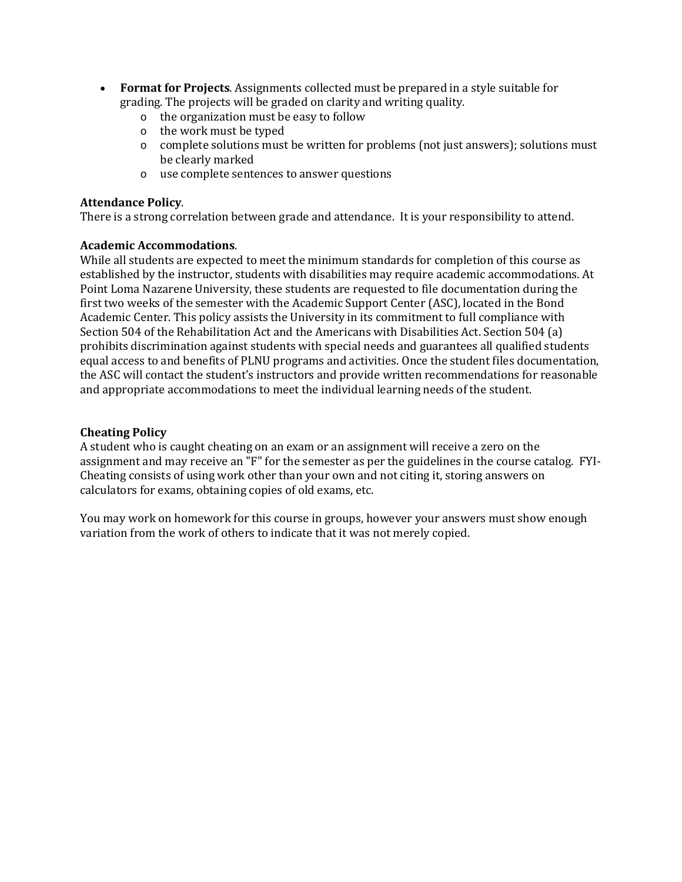- **Format for Projects**. Assignments collected must be prepared in a style suitable for grading. The projects will be graded on clarity and writing quality.
	- o the organization must be easy to follow
	- o the work must be typed
	- o complete solutions must be written for problems (not just answers); solutions must be clearly marked
	- o use complete sentences to answer questions

### **Attendance Policy**.

There is a strong correlation between grade and attendance. It is your responsibility to attend.

# **Academic Accommodations**.

While all students are expected to meet the minimum standards for completion of this course as established by the instructor, students with disabilities may require academic accommodations. At Point Loma Nazarene University, these students are requested to file documentation during the first two weeks of the semester with the Academic Support Center (ASC), located in the Bond Academic Center. This policy assists the University in its commitment to full compliance with Section 504 of the Rehabilitation Act and the Americans with Disabilities Act. Section 504 (a) prohibits discrimination against students with special needs and guarantees all qualified students equal access to and benefits of PLNU programs and activities. Once the student files documentation, the ASC will contact the student's instructors and provide written recommendations for reasonable and appropriate accommodations to meet the individual learning needs of the student.

# **Cheating Policy**

A student who is caught cheating on an exam or an assignment will receive a zero on the assignment and may receive an "F" for the semester as per the guidelines in the course catalog. FYI-Cheating consists of using work other than your own and not citing it, storing answers on calculators for exams, obtaining copies of old exams, etc.

You may work on homework for this course in groups, however your answers must show enough variation from the work of others to indicate that it was not merely copied.